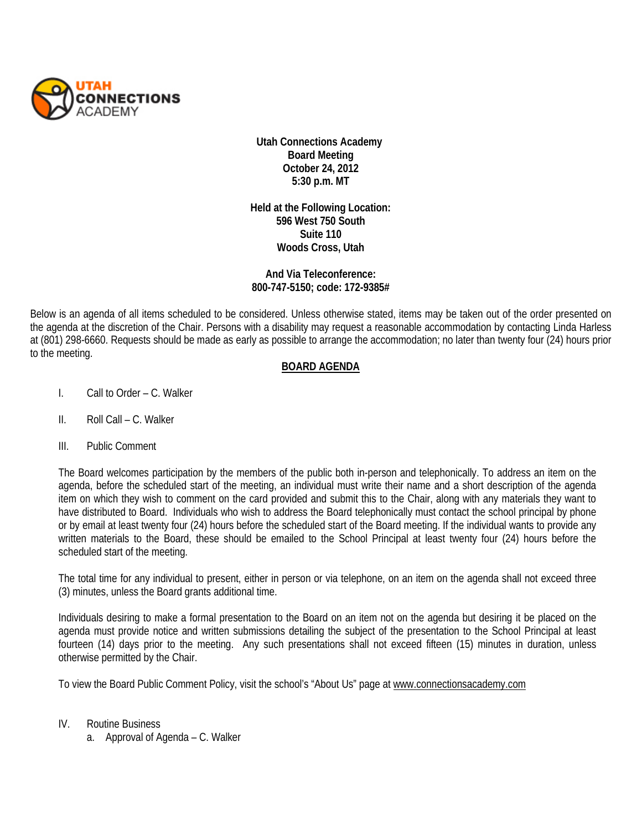

**Utah Connections Academy Board Meeting October 24, 2012 5:30 p.m. MT** 

**Held at the Following Location: 596 West 750 South Suite 110 Woods Cross, Utah**

## **And Via Teleconference: 800-747-5150; code: 172-9385#**

Below is an agenda of all items scheduled to be considered. Unless otherwise stated, items may be taken out of the order presented on the agenda at the discretion of the Chair. Persons with a disability may request a reasonable accommodation by contacting Linda Harless at (801) 298-6660. Requests should be made as early as possible to arrange the accommodation; no later than twenty four (24) hours prior to the meeting.

## **BOARD AGENDA**

- I. Call to Order C. Walker
- II. Roll Call C. Walker
- III. Public Comment

The Board welcomes participation by the members of the public both in-person and telephonically. To address an item on the agenda, before the scheduled start of the meeting, an individual must write their name and a short description of the agenda item on which they wish to comment on the card provided and submit this to the Chair, along with any materials they want to have distributed to Board. Individuals who wish to address the Board telephonically must contact the school principal by phone or by email at least twenty four (24) hours before the scheduled start of the Board meeting. If the individual wants to provide any written materials to the Board, these should be emailed to the School Principal at least twenty four (24) hours before the scheduled start of the meeting.

The total time for any individual to present, either in person or via telephone, on an item on the agenda shall not exceed three (3) minutes, unless the Board grants additional time.

Individuals desiring to make a formal presentation to the Board on an item not on the agenda but desiring it be placed on the agenda must provide notice and written submissions detailing the subject of the presentation to the School Principal at least fourteen (14) days prior to the meeting. Any such presentations shall not exceed fifteen (15) minutes in duration, unless otherwise permitted by the Chair.

To view the Board Public Comment Policy, visit the school's "About Us" page at [www.connectionsacademy.com](http://www.connectionsacademy.com/)

- IV. Routine Business
	- a. Approval of Agenda C. Walker